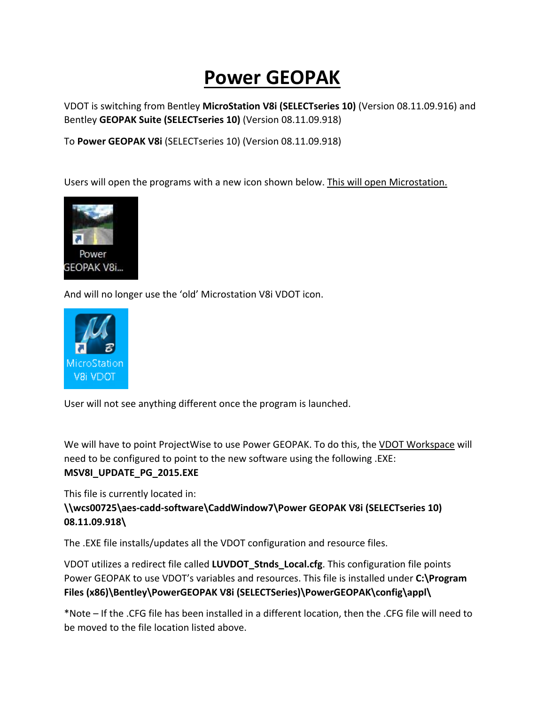# **Power GEOPAK**

VDOT is switching from Bentley **MicroStation V8i (SELECTseries 10)** (Version 08.11.09.916) and Bentley **GEOPAK Suite (SELECTseries 10)** (Version 08.11.09.918)

To **Power GEOPAK V8i** (SELECTseries 10) (Version 08.11.09.918)

Users will open the programs with a new icon shown below. This will open Microstation.



And will no longer use the 'old' Microstation V8i VDOT icon.



User will not see anything different once the program is launched.

We will have to point ProjectWise to use Power GEOPAK. To do this, the VDOT Workspace will need to be configured to point to the new software using the following .EXE: **MSV8I\_UPDATE\_PG\_2015.EXE**

This file is currently located in:

### **\\wcs00725\aes-cadd-software\CaddWindow7\Power GEOPAK V8i (SELECTseries 10) 08.11.09.918\**

The .EXE file installs/updates all the VDOT configuration and resource files.

VDOT utilizes a redirect file called **LUVDOT\_Stnds\_Local.cfg**. This configuration file points Power GEOPAK to use VDOT's variables and resources. This file is installed under **C:\Program**  Files (x86)\Bentley\PowerGEOPAK V8i (SELECTSeries)\PowerGEOPAK\config\appl\

\*Note – If the .CFG file has been installed in a different location, then the .CFG file will need to be moved to the file location listed above.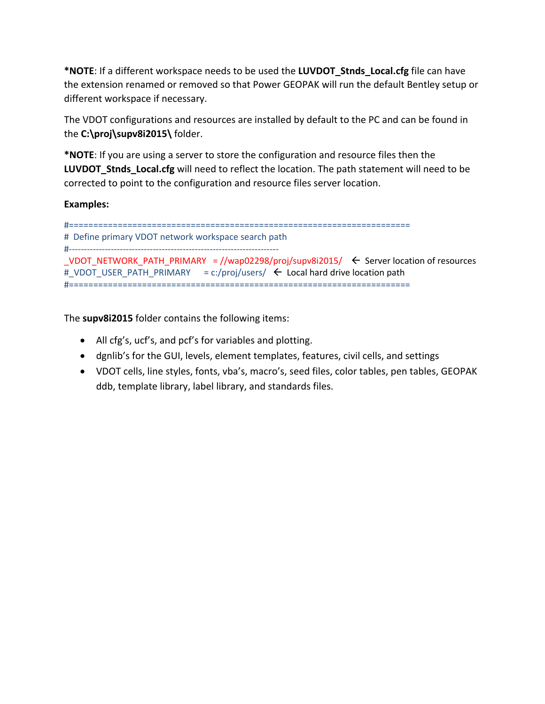**\*NOTE**: If a different workspace needs to be used the **LUVDOT\_Stnds\_Local.cfg** file can have the extension renamed or removed so that Power GEOPAK will run the default Bentley setup or different workspace if necessary.

The VDOT configurations and resources are installed by default to the PC and can be found in the **C:\proj\supv8i2015\** folder.

**\*NOTE**: If you are using a server to store the configuration and resource files then the **LUVDOT\_Stnds\_Local.cfg** will need to reflect the location. The path statement will need to be corrected to point to the configuration and resource files server location.

**Examples:**

```
#======================================================================
# Define primary VDOT network workspace search path
#----------------------------------------------------------------------
_VDOT_NETWORK_PATH_PRIMARY = //wap02298/proj/supv8i2015/ \leftarrow Server location of resources
#_VDOT_USER_PATH_PRIMARY = c:/proj/users/ \leftarrow Local hard drive location path
#======================================================================
```
The **supv8i2015** folder contains the following items:

- All cfg's, ucf's, and pcf's for variables and plotting.
- dgnlib's for the GUI, levels, element templates, features, civil cells, and settings
- VDOT cells, line styles, fonts, vba's, macro's, seed files, color tables, pen tables, GEOPAK ddb, template library, label library, and standards files.